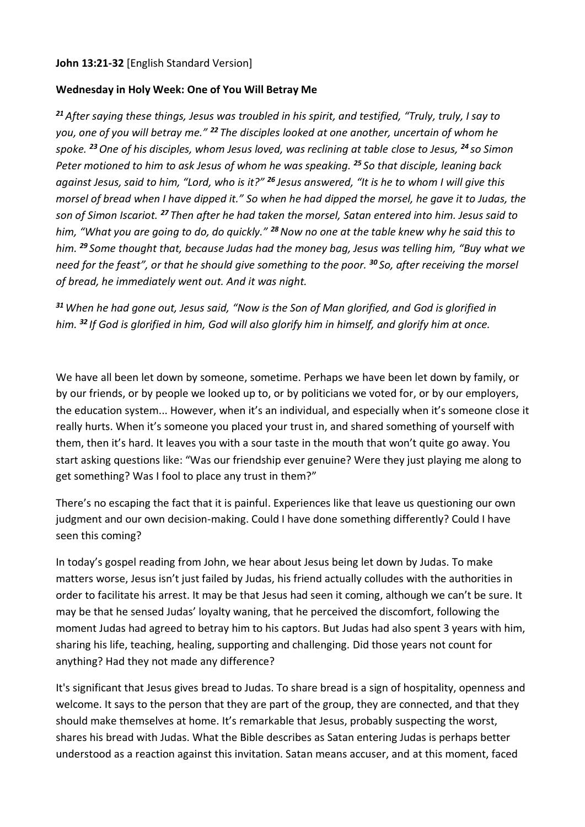## **John 13:21-32** [English Standard Version]

## **Wednesday in Holy Week: One of You Will Betray Me**

*<sup>21</sup>After saying these things, Jesus was troubled in his spirit, and testified, "Truly, truly, I say to you, one of you will betray me." <sup>22</sup> The disciples looked at one another, uncertain of whom he spoke. <sup>23</sup>One of his disciples, whom Jesus loved, was reclining at table close to Jesus, <sup>24</sup> so Simon Peter motioned to him to ask Jesus of whom he was speaking. <sup>25</sup> So that disciple, leaning back against Jesus, said to him, "Lord, who is it?" <sup>26</sup> Jesus answered, "It is he to whom I will give this morsel of bread when I have dipped it." So when he had dipped the morsel, he gave it to Judas, the son of Simon Iscariot. <sup>27</sup> Then after he had taken the morsel, Satan entered into him. Jesus said to him, "What you are going to do, do quickly." <sup>28</sup>Now no one at the table knew why he said this to him. <sup>29</sup> Some thought that, because Judas had the money bag, Jesus was telling him, "Buy what we need for the feast", or that he should give something to the poor. <sup>30</sup> So, after receiving the morsel of bread, he immediately went out. And it was night.*

*<sup>31</sup>When he had gone out, Jesus said, "Now is the Son of Man glorified, and God is glorified in him. <sup>32</sup> If God is glorified in him, God will also glorify him in himself, and glorify him at once.*

We have all been let down by someone, sometime. Perhaps we have been let down by family, or by our friends, or by people we looked up to, or by politicians we voted for, or by our employers, the education system... However, when it's an individual, and especially when it's someone close it really hurts. When it's someone you placed your trust in, and shared something of yourself with them, then it's hard. It leaves you with a sour taste in the mouth that won't quite go away. You start asking questions like: "Was our friendship ever genuine? Were they just playing me along to get something? Was I fool to place any trust in them?"

There's no escaping the fact that it is painful. Experiences like that leave us questioning our own judgment and our own decision-making. Could I have done something differently? Could I have seen this coming?

In today's gospel reading from John, we hear about Jesus being let down by Judas. To make matters worse, Jesus isn't just failed by Judas, his friend actually colludes with the authorities in order to facilitate his arrest. It may be that Jesus had seen it coming, although we can't be sure. It may be that he sensed Judas' loyalty waning, that he perceived the discomfort, following the moment Judas had agreed to betray him to his captors. But Judas had also spent 3 years with him, sharing his life, teaching, healing, supporting and challenging. Did those years not count for anything? Had they not made any difference?

It's significant that Jesus gives bread to Judas. To share bread is a sign of hospitality, openness and welcome. It says to the person that they are part of the group, they are connected, and that they should make themselves at home. It's remarkable that Jesus, probably suspecting the worst, shares his bread with Judas. What the Bible describes as Satan entering Judas is perhaps better understood as a reaction against this invitation. Satan means accuser, and at this moment, faced